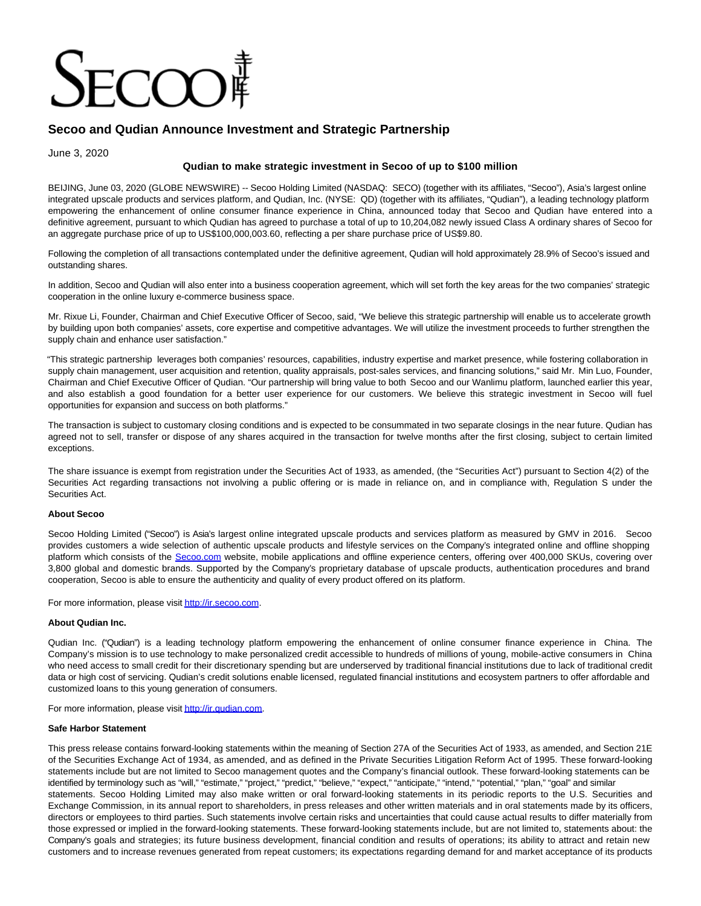# $ECOC$

# **Secoo and Qudian Announce Investment and Strategic Partnership**

June 3, 2020

# **Qudian to make strategic investment in Secoo of up to \$100 million**

BEIJING, June 03, 2020 (GLOBE NEWSWIRE) -- Secoo Holding Limited (NASDAQ: SECO) (together with its affiliates, "Secoo"), Asia's largest online integrated upscale products and services platform, and Qudian, Inc. (NYSE: QD) (together with its affiliates, "Qudian"), a leading technology platform empowering the enhancement of online consumer finance experience in China, announced today that Secoo and Qudian have entered into a definitive agreement, pursuant to which Qudian has agreed to purchase a total of up to 10,204,082 newly issued Class A ordinary shares of Secoo for an aggregate purchase price of up to US\$100,000,003.60, reflecting a per share purchase price of US\$9.80.

Following the completion of all transactions contemplated under the definitive agreement, Qudian will hold approximately 28.9% of Secoo's issued and outstanding shares.

In addition, Secoo and Qudian will also enter into a business cooperation agreement, which will set forth the key areas for the two companies' strategic cooperation in the online luxury e-commerce business space.

Mr. Rixue Li, Founder, Chairman and Chief Executive Officer of Secoo, said, "We believe this strategic partnership will enable us to accelerate growth by building upon both companies' assets, core expertise and competitive advantages. We will utilize the investment proceeds to further strengthen the supply chain and enhance user satisfaction."

"This strategic partnership leverages both companies' resources, capabilities, industry expertise and market presence, while fostering collaboration in supply chain management, user acquisition and retention, quality appraisals, post-sales services, and financing solutions," said Mr. Min Luo, Founder, Chairman and Chief Executive Officer of Qudian. "Our partnership will bring value to both Secoo and our Wanlimu platform, launched earlier this year, and also establish a good foundation for a better user experience for our customers. We believe this strategic investment in Secoo will fuel opportunities for expansion and success on both platforms."

The transaction is subject to customary closing conditions and is expected to be consummated in two separate closings in the near future. Qudian has agreed not to sell, transfer or dispose of any shares acquired in the transaction for twelve months after the first closing, subject to certain limited exceptions.

The share issuance is exempt from registration under the Securities Act of 1933, as amended, (the "Securities Act") pursuant to Section 4(2) of the Securities Act regarding transactions not involving a public offering or is made in reliance on, and in compliance with, Regulation S under the Securities Act.

#### **About Secoo**

Secoo Holding Limited ("Secoo") is Asia's largest online integrated upscale products and services platform as measured by GMV in 2016. Secoo provides customers a wide selection of authentic upscale products and lifestyle services on the Company's integrated online and offline shopping platform which consists of the [Secoo.com](http://secoo.com/) website, mobile applications and offline experience centers, offering over 400,000 SKUs, covering over 3,800 global and domestic brands. Supported by the Company's proprietary database of upscale products, authentication procedures and brand cooperation, Secoo is able to ensure the authenticity and quality of every product offered on its platform.

For more information, please visi[t http://ir.secoo.com.](https://www.globenewswire.com/Tracker?data=RuUqYX0EAyK-QzqDswJ4IPyMWFatDKpS1vrqWlFJzvykruVZL-FIQvdb_hvHmpBi__aX2rosgAT6uU7dxbWQr44eglMCVWFEaQOuPDird2UlQRR7ivt4BeVZurMwwlQeBnNLDeyejWISvfveXD_vF_S04ywkMGXuj7vKgmHhJQs8WCXlJNoQnNgB55ZZMcEsVIcKPzFsRz8hzJNu-8xWZT0P1qpv9n1kuQzUDTkBSdg=)

## **About Qudian Inc.**

Qudian Inc. ("Qudian") is a leading technology platform empowering the enhancement of online consumer finance experience in China. The Company's mission is to use technology to make personalized credit accessible to hundreds of millions of young, mobile-active consumers in China who need access to small credit for their discretionary spending but are underserved by traditional financial institutions due to lack of traditional credit data or high cost of servicing. Qudian's credit solutions enable licensed, regulated financial institutions and ecosystem partners to offer affordable and customized loans to this young generation of consumers.

For more information, please visi[t http://ir.qudian.com.](https://www.globenewswire.com/Tracker?data=RuUqYX0EAyK-QzqDswJ4IKzoEjxsJwm27c_kmWoaGQb4BfCVM7R2dpjKNOE70c5vuXKo5ZIRC7GgmStS-4MSGg==)

#### **Safe Harbor Statement**

This press release contains forward-looking statements within the meaning of Section 27A of the Securities Act of 1933, as amended, and Section 21E of the Securities Exchange Act of 1934, as amended, and as defined in the Private Securities Litigation Reform Act of 1995. These forward-looking statements include but are not limited to Secoo management quotes and the Company's financial outlook. These forward-looking statements can be identified by terminology such as "will," "estimate," "project," "predict," "believe," "expect," "anticipate," "intend," "potential," "plan," "goal" and similar statements. Secoo Holding Limited may also make written or oral forward-looking statements in its periodic reports to the U.S. Securities and Exchange Commission, in its annual report to shareholders, in press releases and other written materials and in oral statements made by its officers, directors or employees to third parties. Such statements involve certain risks and uncertainties that could cause actual results to differ materially from those expressed or implied in the forward-looking statements. These forward-looking statements include, but are not limited to, statements about: the Company's goals and strategies; its future business development, financial condition and results of operations; its ability to attract and retain new customers and to increase revenues generated from repeat customers; its expectations regarding demand for and market acceptance of its products